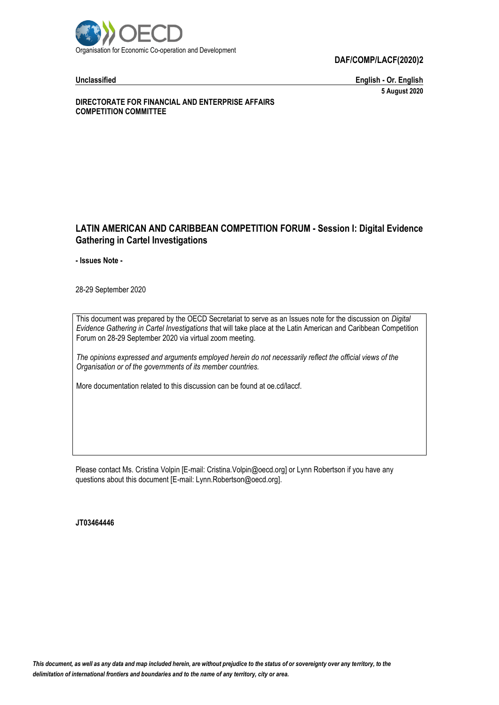

**DAF/COMP/LACF(2020)2**

**Unclassified English - Or. English 5 August 2020**

**DIRECTORATE FOR FINANCIAL AND ENTERPRISE AFFAIRS COMPETITION COMMITTEE**

### **LATIN AMERICAN AND CARIBBEAN COMPETITION FORUM - Session I: Digital Evidence Gathering in Cartel Investigations**

**- Issues Note -**

28-29 September 2020

This document was prepared by the OECD Secretariat to serve as an Issues note for the discussion on *Digital Evidence Gathering in Cartel Investigations* that will take place at the Latin American and Caribbean Competition Forum on 28-29 September 2020 via virtual zoom meeting.

*The opinions expressed and arguments employed herein do not necessarily reflect the official views of the Organisation or of the governments of its member countries.*

More documentation related to this discussion can be found at oe.cd/laccf.

Please contact Ms. Cristina Volpin [E-mail: Cristina.Volpin@oecd.org] or Lynn Robertson if you have any questions about this document [E-mail: Lynn.Robertson@oecd.org].

#### **JT03464446**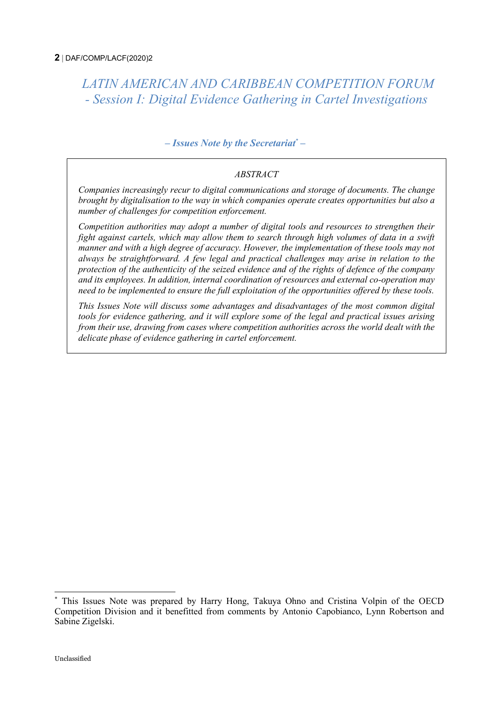<span id="page-1-0"></span>*LATIN AMERICAN AND CARIBBEAN COMPETITION FORUM - Session I: Digital Evidence Gathering in Cartel Investigations*

### *– Issues Note by the Secretariat\* –*

### *ABSTRACT*

*Companies increasingly recur to digital communications and storage of documents. The change brought by digitalisation to the way in which companies operate creates opportunities but also a number of challenges for competition enforcement.* 

*Competition authorities may adopt a number of digital tools and resources to strengthen their fight against cartels, which may allow them to search through high volumes of data in a swift manner and with a high degree of accuracy. However, the implementation of these tools may not always be straightforward. A few legal and practical challenges may arise in relation to the protection of the authenticity of the seized evidence and of the rights of defence of the company and its employees. In addition, internal coordination of resources and external co-operation may need to be implemented to ensure the full exploitation of the opportunities offered by these tools.* 

*This Issues Note will discuss some advantages and disadvantages of the most common digital tools for evidence gathering, and it will explore some of the legal and practical issues arising from their use, drawing from cases where competition authorities across the world dealt with the delicate phase of evidence gathering in cartel enforcement.*

j

This Issues Note was prepared by Harry Hong, Takuya Ohno and Cristina Volpin of the OECD Competition Division and it benefitted from comments by Antonio Capobianco, Lynn Robertson and Sabine Zigelski.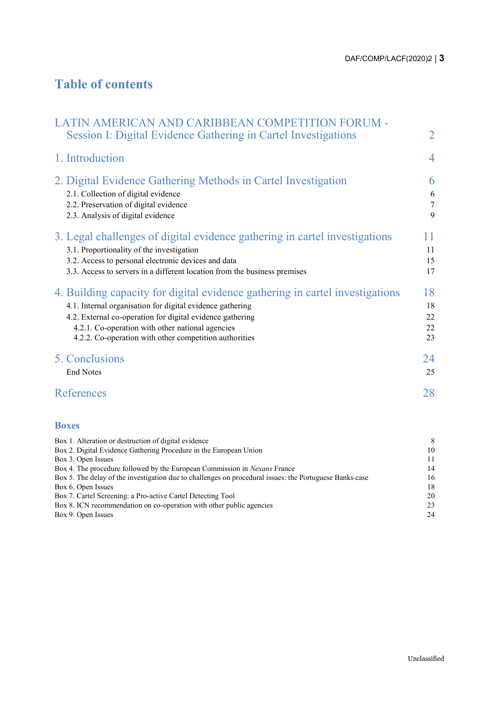# **Table of contents**

| LATIN AMERICAN AND CARIBBEAN COMPETITION FORUM -<br>Session I: Digital Evidence Gathering in Cartel Investigations                                                                                                                                                                                                   | $\overline{2}$                |
|----------------------------------------------------------------------------------------------------------------------------------------------------------------------------------------------------------------------------------------------------------------------------------------------------------------------|-------------------------------|
| 1. Introduction                                                                                                                                                                                                                                                                                                      | $\overline{4}$                |
| 2. Digital Evidence Gathering Methods in Cartel Investigation<br>2.1. Collection of digital evidence<br>2.2. Preservation of digital evidence<br>2.3. Analysis of digital evidence                                                                                                                                   | 6<br>6<br>$\overline{7}$<br>9 |
| 3. Legal challenges of digital evidence gathering in cartel investigations<br>3.1. Proportionality of the investigation<br>3.2. Access to personal electronic devices and data<br>3.3. Access to servers in a different location from the business premises                                                          | 11<br>11<br>15<br>17          |
| 4. Building capacity for digital evidence gathering in cartel investigations<br>4.1. Internal organisation for digital evidence gathering<br>4.2. External co-operation for digital evidence gathering<br>4.2.1. Co-operation with other national agencies<br>4.2.2. Co-operation with other competition authorities | 18<br>18<br>22<br>22<br>23    |
| 5. Conclusions<br><b>End Notes</b>                                                                                                                                                                                                                                                                                   | 24<br>25                      |
| References                                                                                                                                                                                                                                                                                                           | 28                            |
| <b>Boxes</b>                                                                                                                                                                                                                                                                                                         |                               |
| Box 1. Alteration or destruction of digital evidence                                                                                                                                                                                                                                                                 | 8                             |

| Box 1. Alteration or destruction of digital evidence                                                    |    |
|---------------------------------------------------------------------------------------------------------|----|
| Box 2. Digital Evidence Gathering Procedure in the European Union                                       | 10 |
| Box 3. Open Issues                                                                                      | 11 |
| Box 4. The procedure followed by the European Commission in Nexans France                               | 14 |
| Box 5. The delay of the investigation due to challenges on procedural issues: the Portuguese Banks case | 16 |
| Box 6. Open Issues                                                                                      | 18 |
| Box 7. Cartel Screening: a Pro-active Cartel Detecting Tool                                             | 20 |
| Box 8. ICN recommendation on co-operation with other public agencies                                    | 23 |
| Box 9. Open Issues                                                                                      | 24 |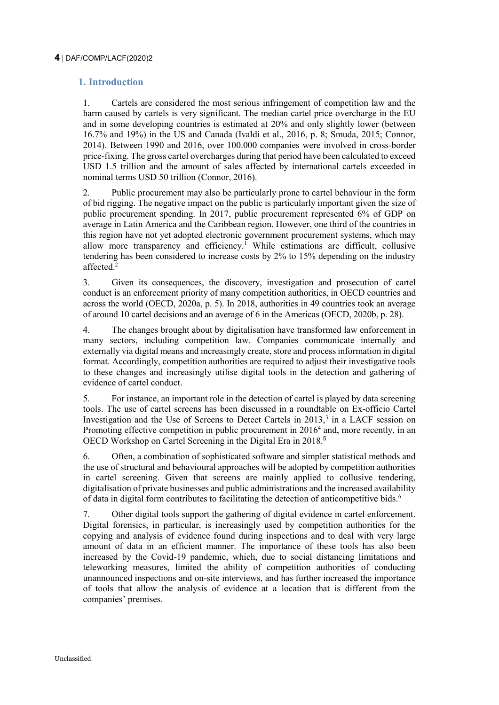#### <span id="page-3-0"></span>**4** DAF/COMP/LACF(2020)2

### **1. Introduction**

1. Cartels are considered the most serious infringement of competition law and the harm caused by cartels is very significant. The median cartel price overcharge in the EU and in some developing countries is estimated at 20% and only slightly lower (between 16.7% and 19%) in the US and Canada (Ivaldi et al., 2016, p. 8; Smuda, 2015; Connor, 2014). Between 1990 and 2016, over 100.000 companies were involved in cross-border price-fixing. The gross cartel overcharges during that period have been calculated to exceed USD 1.5 trillion and the amount of sales affected by international cartels exceeded in nominal terms USD 50 trillion (Connor, 2016).

2. Public procurement may also be particularly prone to cartel behaviour in the form of bid rigging. The negative impact on the public is particularly important given the size of public procurement spending. In 2017, public procurement represented 6% of GDP on average in Latin America and the Caribbean region. However, one third of the countries in this region have not yet adopted electronic government procurement systems, which may allow more transparency and efficiency.<sup>1</sup> While estimations are difficult, collusive tendering has been considered to increase costs by 2% to 15% depending on the industry affected.<sup>2</sup>

3. Given its consequences, the discovery, investigation and prosecution of cartel conduct is an enforcement priority of many competition authorities, in OECD countries and across the world (OECD, 2020a, p. 5). In 2018, authorities in 49 countries took an average of around 10 cartel decisions and an average of 6 in the Americas (OECD, 2020b, p. 28).

4. The changes brought about by digitalisation have transformed law enforcement in many sectors, including competition law. Companies communicate internally and externally via digital means and increasingly create, store and process information in digital format. Accordingly, competition authorities are required to adjust their investigative tools to these changes and increasingly utilise digital tools in the detection and gathering of evidence of cartel conduct.

5. For instance, an important role in the detection of cartel is played by data screening tools. The use of cartel screens has been discussed in a roundtable on Ex-officio Cartel Investigation and the Use of Screens to Detect Cartels in 2013,<sup>3</sup> in a LACF session on Promoting effective competition in public procurement in 2016<sup>4</sup> and, more recently, in an OECD Workshop on Cartel Screening in the Digital Era in 2018.<sup>5</sup>

6. Often, a combination of sophisticated software and simpler statistical methods and the use of structural and behavioural approaches will be adopted by competition authorities in cartel screening. Given that screens are mainly applied to collusive tendering, digitalisation of private businesses and public administrations and the increased availability of data in digital form contributes to facilitating the detection of anticompetitive bids.<sup>6</sup>

7. Other digital tools support the gathering of digital evidence in cartel enforcement. Digital forensics, in particular, is increasingly used by competition authorities for the copying and analysis of evidence found during inspections and to deal with very large amount of data in an efficient manner. The importance of these tools has also been increased by the Covid-19 pandemic, which, due to social distancing limitations and teleworking measures, limited the ability of competition authorities of conducting unannounced inspections and on-site interviews, and has further increased the importance of tools that allow the analysis of evidence at a location that is different from the companies' premises.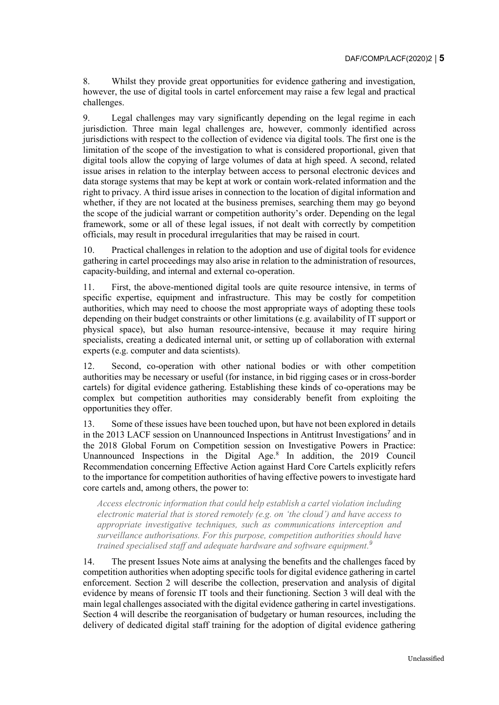8. Whilst they provide great opportunities for evidence gathering and investigation, however, the use of digital tools in cartel enforcement may raise a few legal and practical challenges.

9. Legal challenges may vary significantly depending on the legal regime in each jurisdiction. Three main legal challenges are, however, commonly identified across jurisdictions with respect to the collection of evidence via digital tools. The first one is the limitation of the scope of the investigation to what is considered proportional, given that digital tools allow the copying of large volumes of data at high speed. A second, related issue arises in relation to the interplay between access to personal electronic devices and data storage systems that may be kept at work or contain work-related information and the right to privacy. A third issue arises in connection to the location of digital information and whether, if they are not located at the business premises, searching them may go beyond the scope of the judicial warrant or competition authority's order. Depending on the legal framework, some or all of these legal issues, if not dealt with correctly by competition officials, may result in procedural irregularities that may be raised in court.

10. Practical challenges in relation to the adoption and use of digital tools for evidence gathering in cartel proceedings may also arise in relation to the administration of resources, capacity-building, and internal and external co-operation.

11. First, the above-mentioned digital tools are quite resource intensive, in terms of specific expertise, equipment and infrastructure. This may be costly for competition authorities, which may need to choose the most appropriate ways of adopting these tools depending on their budget constraints or other limitations (e.g. availability of IT support or physical space), but also human resource-intensive, because it may require hiring specialists, creating a dedicated internal unit, or setting up of collaboration with external experts (e.g. computer and data scientists).

12. Second, co-operation with other national bodies or with other competition authorities may be necessary or useful (for instance, in bid rigging cases or in cross-border cartels) for digital evidence gathering. Establishing these kinds of co-operations may be complex but competition authorities may considerably benefit from exploiting the opportunities they offer.

13. Some of these issues have been touched upon, but have not been explored in details in the 2013 LACF session on Unannounced Inspections in Antitrust Investigations<sup>7</sup> and in the 2018 Global Forum on Competition session on Investigative Powers in Practice: Unannounced Inspections in the Digital Age.<sup>8</sup> In addition, the 2019 Council Recommendation concerning Effective Action against Hard Core Cartels explicitly refers to the importance for competition authorities of having effective powers to investigate hard core cartels and, among others, the power to:

*Access electronic information that could help establish a cartel violation including electronic material that is stored remotely (e.g. on 'the cloud') and have access to appropriate investigative techniques, such as communications interception and surveillance authorisations. For this purpose, competition authorities should have trained specialised staff and adequate hardware and software equipment. 9*

14. The present Issues Note aims at analysing the benefits and the challenges faced by competition authorities when adopting specific tools for digital evidence gathering in cartel enforcement. Section 2 will describe the collection, preservation and analysis of digital evidence by means of forensic IT tools and their functioning. Section 3 will deal with the main legal challenges associated with the digital evidence gathering in cartel investigations. Section 4 will describe the reorganisation of budgetary or human resources, including the delivery of dedicated digital staff training for the adoption of digital evidence gathering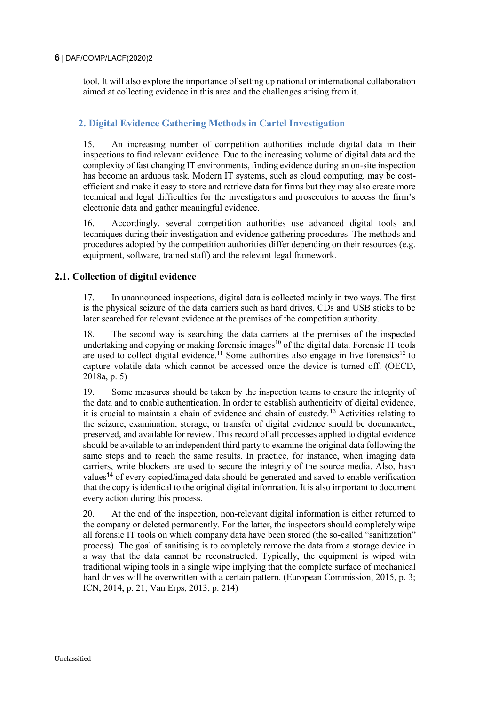#### **6** DAF/COMP/LACF(2020)2

tool. It will also explore the importance of setting up national or international collaboration aimed at collecting evidence in this area and the challenges arising from it.

### <span id="page-5-0"></span>**2. Digital Evidence Gathering Methods in Cartel Investigation**

15. An increasing number of competition authorities include digital data in their inspections to find relevant evidence. Due to the increasing volume of digital data and the complexity of fast changing IT environments, finding evidence during an on-site inspection has become an arduous task. Modern IT systems, such as cloud computing, may be costefficient and make it easy to store and retrieve data for firms but they may also create more technical and legal difficulties for the investigators and prosecutors to access the firm's electronic data and gather meaningful evidence.

16. Accordingly, several competition authorities use advanced digital tools and techniques during their investigation and evidence gathering procedures. The methods and procedures adopted by the competition authorities differ depending on their resources (e.g. equipment, software, trained staff) and the relevant legal framework.

### <span id="page-5-1"></span>**2.1. Collection of digital evidence**

17. In unannounced inspections, digital data is collected mainly in two ways. The first is the physical seizure of the data carriers such as hard drives, CDs and USB sticks to be later searched for relevant evidence at the premises of the competition authority.

18. The second way is searching the data carriers at the premises of the inspected undertaking and copying or making forensic images<sup>10</sup> of the digital data. Forensic IT tools are used to collect digital evidence.<sup>11</sup> Some authorities also engage in live forensics<sup>12</sup> to capture volatile data which cannot be accessed once the device is turned off. (OECD, 2018a, p. 5)

19. Some measures should be taken by the inspection teams to ensure the integrity of the data and to enable authentication. In order to establish authenticity of digital evidence, it is crucial to maintain a chain of evidence and chain of custody.<sup>13</sup> Activities relating to the seizure, examination, storage, or transfer of digital evidence should be documented, preserved, and available for review. This record of all processes applied to digital evidence should be available to an independent third party to examine the original data following the same steps and to reach the same results. In practice, for instance, when imaging data carriers, write blockers are used to secure the integrity of the source media. Also, hash values<sup>14</sup> of every copied/imaged data should be generated and saved to enable verification that the copy is identical to the original digital information. It is also important to document every action during this process.

20. At the end of the inspection, non-relevant digital information is either returned to the company or deleted permanently. For the latter, the inspectors should completely wipe all forensic IT tools on which company data have been stored (the so-called "sanitization" process). The goal of sanitising is to completely remove the data from a storage device in a way that the data cannot be reconstructed. Typically, the equipment is wiped with traditional wiping tools in a single wipe implying that the complete surface of mechanical hard drives will be overwritten with a certain pattern. (European Commission, 2015, p. 3; ICN, 2014, p. 21; Van Erps, 2013, p. 214)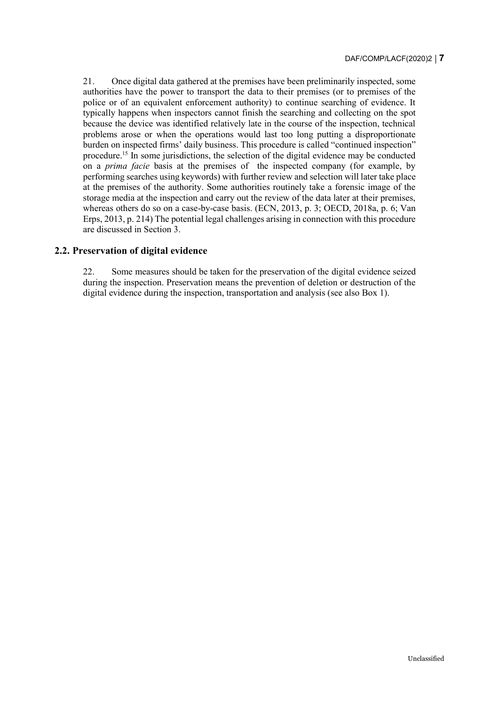21. Once digital data gathered at the premises have been preliminarily inspected, some authorities have the power to transport the data to their premises (or to premises of the police or of an equivalent enforcement authority) to continue searching of evidence. It typically happens when inspectors cannot finish the searching and collecting on the spot because the device was identified relatively late in the course of the inspection, technical problems arose or when the operations would last too long putting a disproportionate burden on inspected firms' daily business. This procedure is called "continued inspection" procedure.<sup>15</sup> In some jurisdictions, the selection of the digital evidence may be conducted on a *prima facie* basis at the premises of the inspected company (for example, by performing searches using keywords) with further review and selection will later take place at the premises of the authority. Some authorities routinely take a forensic image of the storage media at the inspection and carry out the review of the data later at their premises, whereas others do so on a case-by-case basis. (ECN, 2013, p. 3; OECD, 2018a, p. 6; Van Erps, 2013, p. 214) The potential legal challenges arising in connection with this procedure are discussed in Section 3.

### <span id="page-6-0"></span>**2.2. Preservation of digital evidence**

22. Some measures should be taken for the preservation of the digital evidence seized during the inspection. Preservation means the prevention of deletion or destruction of the digital evidence during the inspection, transportation and analysis (see also [Box](#page-7-0) 1).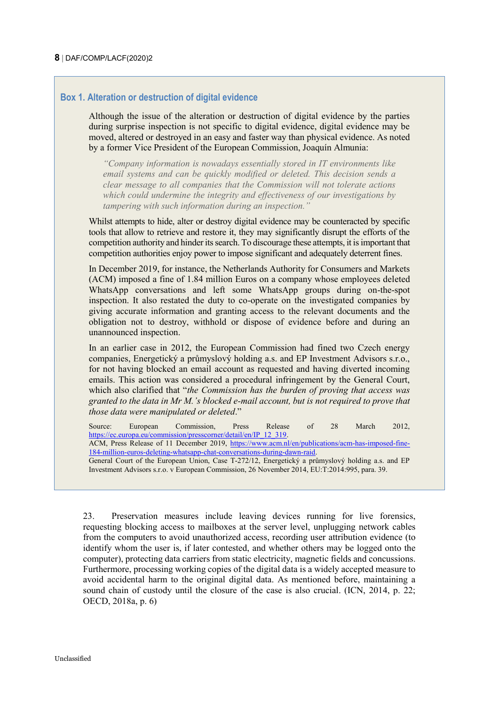#### <span id="page-7-0"></span>**Box 1. Alteration or destruction of digital evidence**

Although the issue of the alteration or destruction of digital evidence by the parties during surprise inspection is not specific to digital evidence, digital evidence may be moved, altered or destroyed in an easy and faster way than physical evidence. As noted by a former Vice President of the European Commission, Joaquín Almunia:

*"Company information is nowadays essentially stored in IT environments like email systems and can be quickly modified or deleted. This decision sends a clear message to all companies that the Commission will not tolerate actions which could undermine the integrity and effectiveness of our investigations by tampering with such information during an inspection."*

Whilst attempts to hide, alter or destroy digital evidence may be counteracted by specific tools that allow to retrieve and restore it, they may significantly disrupt the efforts of the competition authority and hinder its search. To discourage these attempts, it is important that competition authorities enjoy power to impose significant and adequately deterrent fines.

In December 2019, for instance, the Netherlands Authority for Consumers and Markets (ACM) imposed a fine of 1.84 million Euros on a company whose employees deleted WhatsApp conversations and left some WhatsApp groups during on-the-spot inspection. It also restated the duty to co-operate on the investigated companies by giving accurate information and granting access to the relevant documents and the obligation not to destroy, withhold or dispose of evidence before and during an unannounced inspection.

In an earlier case in 2012, the European Commission had fined two Czech energy companies, Energetický a průmyslový holding a.s. and EP Investment Advisors s.r.o., for not having blocked an email account as requested and having diverted incoming emails. This action was considered a procedural infringement by the General Court, which also clarified that "*the Commission has the burden of proving that access was granted to the data in Mr M.'s blocked e-mail account, but is not required to prove that those data were manipulated or deleted*."

Source: European Commission, Press Release of 28 March 2012, [https://ec.europa.eu/commission/presscorner/detail/en/IP\\_12\\_319.](https://ec.europa.eu/commission/presscorner/detail/en/IP_12_319) ACM, Press Release of 11 December 2019, [https://www.acm.nl/en/publications/acm-has-imposed-fine-](https://www.acm.nl/en/publications/acm-has-imposed-fine-184-million-euros-deleting-whatsapp-chat-conversations-during-dawn-raid)[184-million-euros-deleting-whatsapp-chat-conversations-during-dawn-raid.](https://www.acm.nl/en/publications/acm-has-imposed-fine-184-million-euros-deleting-whatsapp-chat-conversations-during-dawn-raid)

General Court of the European Union, Case T-272/12, Energetický a průmyslový holding a.s. and EP Investment Advisors s.r.o. v European Commission, 26 November 2014, EU:T:2014:995, para. 39.

23. Preservation measures include leaving devices running for live forensics, requesting blocking access to mailboxes at the server level, unplugging network cables from the computers to avoid unauthorized access, recording user attribution evidence (to identify whom the user is, if later contested, and whether others may be logged onto the computer), protecting data carriers from static electricity, magnetic fields and concussions. Furthermore, processing working copies of the digital data is a widely accepted measure to avoid accidental harm to the original digital data. As mentioned before, maintaining a sound chain of custody until the closure of the case is also crucial. (ICN, 2014, p. 22; OECD, 2018a, p. 6)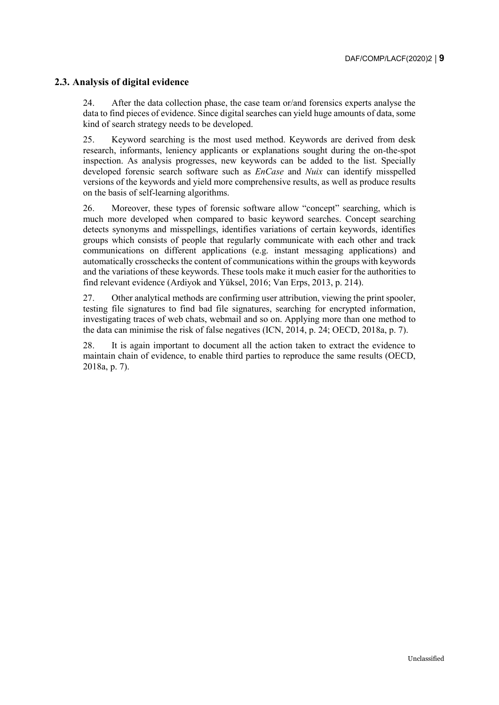### <span id="page-8-0"></span>**2.3. Analysis of digital evidence**

24. After the data collection phase, the case team or/and forensics experts analyse the data to find pieces of evidence. Since digital searches can yield huge amounts of data, some kind of search strategy needs to be developed.

25. Keyword searching is the most used method. Keywords are derived from desk research, informants, leniency applicants or explanations sought during the on-the-spot inspection. As analysis progresses, new keywords can be added to the list. Specially developed forensic search software such as *EnCase* and *Nuix* can identify misspelled versions of the keywords and yield more comprehensive results, as well as produce results on the basis of self-learning algorithms.

26. Moreover, these types of forensic software allow "concept" searching, which is much more developed when compared to basic keyword searches. Concept searching detects synonyms and misspellings, identifies variations of certain keywords, identifies groups which consists of people that regularly communicate with each other and track communications on different applications (e.g. instant messaging applications) and automatically crosschecks the content of communications within the groups with keywords and the variations of these keywords. These tools make it much easier for the authorities to find relevant evidence [\(Ardiyok](https://www.mondaq.com/Home/Redirect/1316934?mode=author&article_id=479716) and Yüksel, 2016; Van Erps, 2013, p. 214).

27. Other analytical methods are confirming user attribution, viewing the print spooler, testing file signatures to find bad file signatures, searching for encrypted information, investigating traces of web chats, webmail and so on. Applying more than one method to the data can minimise the risk of false negatives (ICN, 2014, p. 24; OECD, 2018a, p. 7).

28. It is again important to document all the action taken to extract the evidence to maintain chain of evidence, to enable third parties to reproduce the same results (OECD, 2018a, p. 7).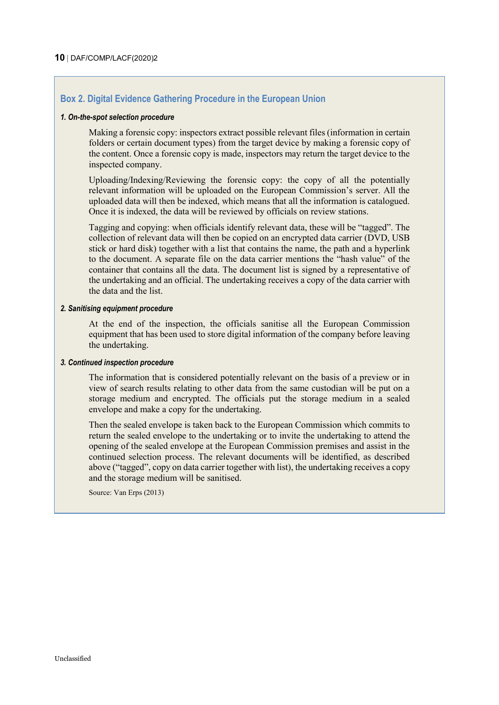### <span id="page-9-0"></span>**Box 2. Digital Evidence Gathering Procedure in the European Union**

#### *1. On-the-spot selection procedure*

Making a forensic copy: inspectors extract possible relevant files (information in certain folders or certain document types) from the target device by making a forensic copy of the content. Once a forensic copy is made, inspectors may return the target device to the inspected company.

Uploading/Indexing/Reviewing the forensic copy: the copy of all the potentially relevant information will be uploaded on the European Commission's server. All the uploaded data will then be indexed, which means that all the information is catalogued. Once it is indexed, the data will be reviewed by officials on review stations.

Tagging and copying: when officials identify relevant data, these will be "tagged". The collection of relevant data will then be copied on an encrypted data carrier (DVD, USB stick or hard disk) together with a list that contains the name, the path and a hyperlink to the document. A separate file on the data carrier mentions the "hash value" of the container that contains all the data. The document list is signed by a representative of the undertaking and an official. The undertaking receives a copy of the data carrier with the data and the list.

#### *2. Sanitising equipment procedure*

At the end of the inspection, the officials sanitise all the European Commission equipment that has been used to store digital information of the company before leaving the undertaking.

#### *3. Continued inspection procedure*

The information that is considered potentially relevant on the basis of a preview or in view of search results relating to other data from the same custodian will be put on a storage medium and encrypted. The officials put the storage medium in a sealed envelope and make a copy for the undertaking.

Then the sealed envelope is taken back to the European Commission which commits to return the sealed envelope to the undertaking or to invite the undertaking to attend the opening of the sealed envelope at the European Commission premises and assist in the continued selection process. The relevant documents will be identified, as described above ("tagged", copy on data carrier together with list), the undertaking receives a copy and the storage medium will be sanitised.

Source: Van Erps (2013)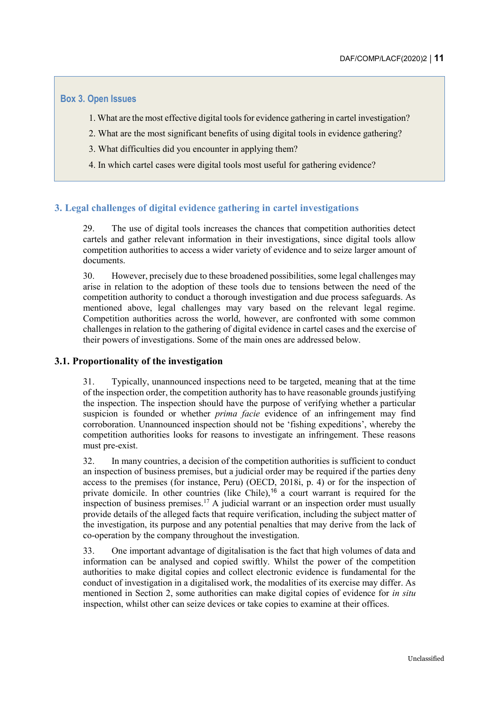### <span id="page-10-2"></span>**Box 3. Open Issues**

- 1. What are the most effective digital tools for evidence gathering in cartel investigation?
- 2. What are the most significant benefits of using digital tools in evidence gathering?
- 3. What difficulties did you encounter in applying them?
- 4. In which cartel cases were digital tools most useful for gathering evidence?

### <span id="page-10-0"></span>**3. Legal challenges of digital evidence gathering in cartel investigations**

29. The use of digital tools increases the chances that competition authorities detect cartels and gather relevant information in their investigations, since digital tools allow competition authorities to access a wider variety of evidence and to seize larger amount of documents.

30. However, precisely due to these broadened possibilities, some legal challenges may arise in relation to the adoption of these tools due to tensions between the need of the competition authority to conduct a thorough investigation and due process safeguards. As mentioned above, legal challenges may vary based on the relevant legal regime. Competition authorities across the world, however, are confronted with some common challenges in relation to the gathering of digital evidence in cartel cases and the exercise of their powers of investigations. Some of the main ones are addressed below.

### <span id="page-10-1"></span>**3.1. Proportionality of the investigation**

31. Typically, unannounced inspections need to be targeted, meaning that at the time of the inspection order, the competition authority has to have reasonable grounds justifying the inspection. The inspection should have the purpose of verifying whether a particular suspicion is founded or whether *prima facie* evidence of an infringement may find corroboration. Unannounced inspection should not be 'fishing expeditions', whereby the competition authorities looks for reasons to investigate an infringement. These reasons must pre-exist.

32. In many countries, a decision of the competition authorities is sufficient to conduct an inspection of business premises, but a judicial order may be required if the parties deny access to the premises (for instance, Peru) (OECD, 2018i, p. 4) or for the inspection of private domicile. In other countries (like Chile),<sup>16</sup> a court warrant is required for the inspection of business premises.<sup>17</sup> A judicial warrant or an inspection order must usually provide details of the alleged facts that require verification, including the subject matter of the investigation, its purpose and any potential penalties that may derive from the lack of co-operation by the company throughout the investigation.

33. One important advantage of digitalisation is the fact that high volumes of data and information can be analysed and copied swiftly. Whilst the power of the competition authorities to make digital copies and collect electronic evidence is fundamental for the conduct of investigation in a digitalised work, the modalities of its exercise may differ. As mentioned in Section 2, some authorities can make digital copies of evidence for *in situ* inspection, whilst other can seize devices or take copies to examine at their offices.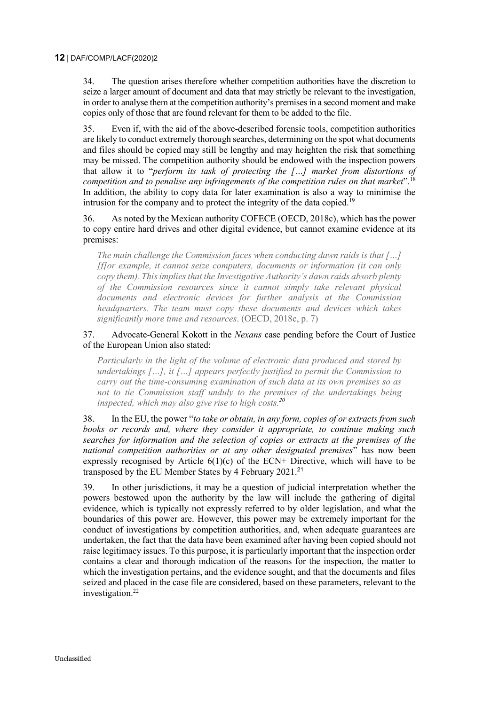34. The question arises therefore whether competition authorities have the discretion to seize a larger amount of document and data that may strictly be relevant to the investigation, in order to analyse them at the competition authority's premises in a second moment and make copies only of those that are found relevant for them to be added to the file.

35. Even if, with the aid of the above-described forensic tools, competition authorities are likely to conduct extremely thorough searches, determining on the spot what documents and files should be copied may still be lengthy and may heighten the risk that something may be missed. The competition authority should be endowed with the inspection powers that allow it to "*perform its task of protecting the […] market from distortions of competition and to penalise any infringements of the competition rules on that market*".<sup>18</sup> In addition, the ability to copy data for later examination is also a way to minimise the intrusion for the company and to protect the integrity of the data copied.<sup>19</sup>

36. As noted by the Mexican authority COFECE (OECD, 2018c), which has the power to copy entire hard drives and other digital evidence, but cannot examine evidence at its premises:

*The main challenge the Commission faces when conducting dawn raids is that […] [f]or example, it cannot seize computers, documents or information (it can only copy them). This implies that the Investigative Authority's dawn raids absorb plenty of the Commission resources since it cannot simply take relevant physical documents and electronic devices for further analysis at the Commission headquarters. The team must copy these documents and devices which takes significantly more time and resources*. (OECD, 2018c, p. 7)

#### 37. Advocate-General Kokott in the *Nexans* case pending before the Court of Justice of the European Union also stated:

*Particularly in the light of the volume of electronic data produced and stored by undertakings […], it […] appears perfectly justified to permit the Commission to carry out the time-consuming examination of such data at its own premises so as not to tie Commission staff unduly to the premises of the undertakings being inspected, which may also give rise to high costs.<sup>20</sup>*

38. In the EU, the power "*to take or obtain, in any form, copies of or extracts from such books or records and, where they consider it appropriate, to continue making such searches for information and the selection of copies or extracts at the premises of the national competition authorities or at any other designated premises*" has now been expressly recognised by Article  $6(1)(c)$  of the ECN+ Directive, which will have to be transposed by the EU Member States by 4 February 2021.<sup>21</sup>

39. In other jurisdictions, it may be a question of judicial interpretation whether the powers bestowed upon the authority by the law will include the gathering of digital evidence, which is typically not expressly referred to by older legislation, and what the boundaries of this power are. However, this power may be extremely important for the conduct of investigations by competition authorities, and, when adequate guarantees are undertaken, the fact that the data have been examined after having been copied should not raise legitimacy issues. To this purpose, it is particularly important that the inspection order contains a clear and thorough indication of the reasons for the inspection, the matter to which the investigation pertains, and the evidence sought, and that the documents and files seized and placed in the case file are considered, based on these parameters, relevant to the investigation.<sup>22</sup>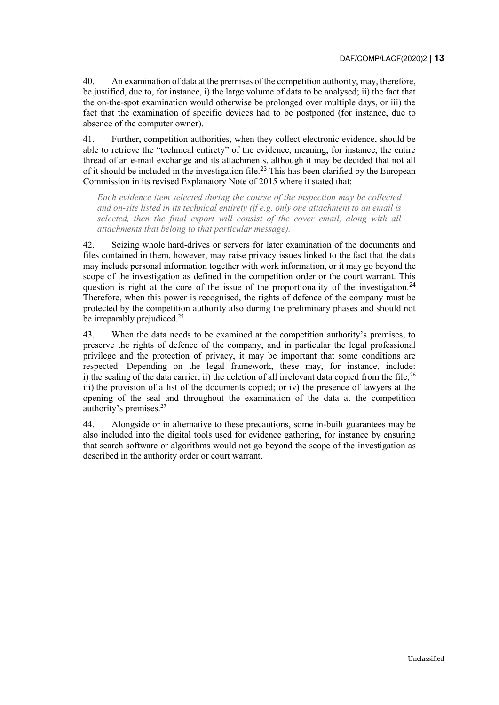40. An examination of data at the premises of the competition authority, may, therefore, be justified, due to, for instance, i) the large volume of data to be analysed; ii) the fact that the on-the-spot examination would otherwise be prolonged over multiple days, or iii) the fact that the examination of specific devices had to be postponed (for instance, due to absence of the computer owner).

41. Further, competition authorities, when they collect electronic evidence, should be able to retrieve the "technical entirety" of the evidence, meaning, for instance, the entire thread of an e-mail exchange and its attachments, although it may be decided that not all of it should be included in the investigation file.<sup>23</sup> This has been clarified by the European Commission in its revised Explanatory Note of 2015 where it stated that:

*Each evidence item selected during the course of the inspection may be collected and on-site listed in its technical entirety (if e.g. only one attachment to an email is selected, then the final export will consist of the cover email, along with all attachments that belong to that particular message).* 

42. Seizing whole hard-drives or servers for later examination of the documents and files contained in them, however, may raise privacy issues linked to the fact that the data may include personal information together with work information, or it may go beyond the scope of the investigation as defined in the competition order or the court warrant. This question is right at the core of the issue of the proportionality of the investigation.<sup>24</sup> Therefore, when this power is recognised, the rights of defence of the company must be protected by the competition authority also during the preliminary phases and should not be irreparably prejudiced.<sup>25</sup>

43. When the data needs to be examined at the competition authority's premises, to preserve the rights of defence of the company, and in particular the legal professional privilege and the protection of privacy, it may be important that some conditions are respected. Depending on the legal framework, these may, for instance, include: i) the sealing of the data carrier; ii) the deletion of all irrelevant data copied from the file;  $26$ iii) the provision of a list of the documents copied; or iv) the presence of lawyers at the opening of the seal and throughout the examination of the data at the competition authority's premises.<sup>27</sup>

44. Alongside or in alternative to these precautions, some in-built guarantees may be also included into the digital tools used for evidence gathering, for instance by ensuring that search software or algorithms would not go beyond the scope of the investigation as described in the authority order or court warrant.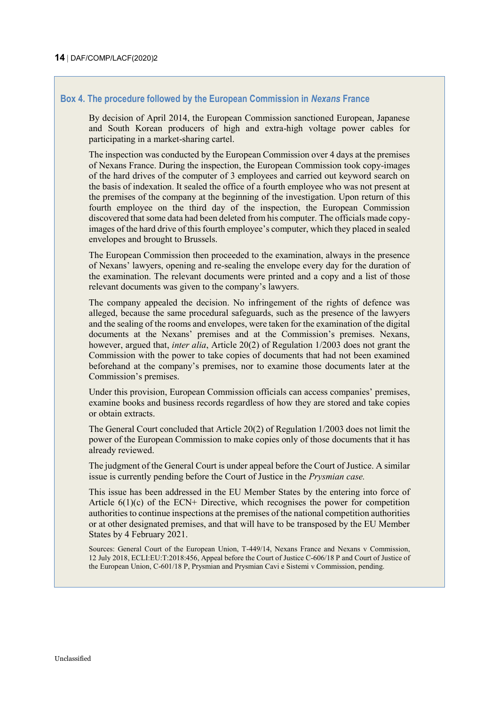### <span id="page-13-0"></span>**Box 4. The procedure followed by the European Commission in** *Nexans* **France**

By decision of April 2014, the European Commission sanctioned European, Japanese and South Korean producers of high and extra-high voltage power cables for participating in a market-sharing cartel.

The inspection was conducted by the European Commission over 4 days at the premises of Nexans France. During the inspection, the European Commission took copy-images of the hard drives of the computer of 3 employees and carried out keyword search on the basis of indexation. It sealed the office of a fourth employee who was not present at the premises of the company at the beginning of the investigation. Upon return of this fourth employee on the third day of the inspection, the European Commission discovered that some data had been deleted from his computer. The officials made copyimages of the hard drive of this fourth employee's computer, which they placed in sealed envelopes and brought to Brussels.

The European Commission then proceeded to the examination, always in the presence of Nexans' lawyers, opening and re-sealing the envelope every day for the duration of the examination. The relevant documents were printed and a copy and a list of those relevant documents was given to the company's lawyers.

The company appealed the decision. No infringement of the rights of defence was alleged, because the same procedural safeguards, such as the presence of the lawyers and the sealing of the rooms and envelopes, were taken for the examination of the digital documents at the Nexans' premises and at the Commission's premises. Nexans, however, argued that, *inter alia*, Article 20(2) of Regulation 1/2003 does not grant the Commission with the power to take copies of documents that had not been examined beforehand at the company's premises, nor to examine those documents later at the Commission's premises.

Under this provision, European Commission officials can access companies' premises, examine books and business records regardless of how they are stored and take copies or obtain extracts.

The General Court concluded that Article 20(2) of Regulation 1/2003 does not limit the power of the European Commission to make copies only of those documents that it has already reviewed.

The judgment of the General Court is under appeal before the Court of Justice. A similar issue is currently pending before the Court of Justice in the *Prysmian case.*

This issue has been addressed in the EU Member States by the entering into force of Article  $6(1)(c)$  of the ECN+ Directive, which recognises the power for competition authorities to continue inspections at the premises of the national competition authorities or at other designated premises, and that will have to be transposed by the EU Member States by 4 February 2021.

Sources: General Court of the European Union, T-449/14, Nexans France and Nexans v Commission, 12 July 2018, ECLI:EU:T:2018:456, Appeal before the Court of Justice C-606/18 P and Court of Justice of the European Union, C-601/18 P, Prysmian and Prysmian Cavi e Sistemi v Commission, pending.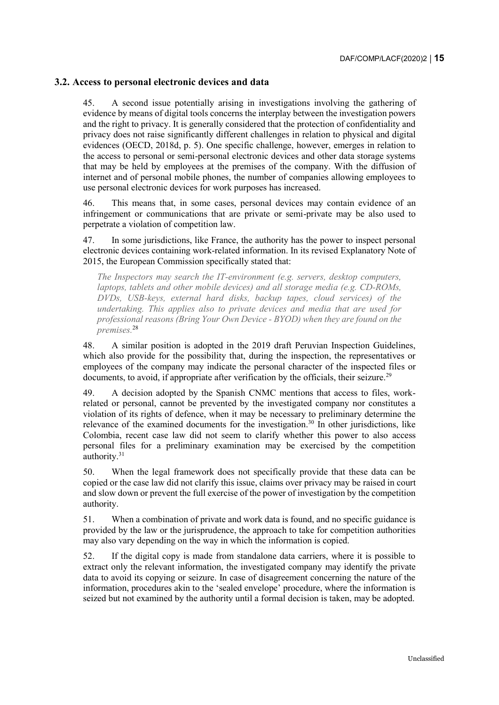### <span id="page-14-0"></span>**3.2. Access to personal electronic devices and data**

45. A second issue potentially arising in investigations involving the gathering of evidence by means of digital tools concerns the interplay between the investigation powers and the right to privacy. It is generally considered that the protection of confidentiality and privacy does not raise significantly different challenges in relation to physical and digital evidences (OECD, 2018d, p. 5). One specific challenge, however, emerges in relation to the access to personal or semi-personal electronic devices and other data storage systems that may be held by employees at the premises of the company. With the diffusion of internet and of personal mobile phones, the number of companies allowing employees to use personal electronic devices for work purposes has increased.

46. This means that, in some cases, personal devices may contain evidence of an infringement or communications that are private or semi-private may be also used to perpetrate a violation of competition law.

47. In some jurisdictions, like France, the authority has the power to inspect personal electronic devices containing work-related information. In its revised Explanatory Note of 2015, the European Commission specifically stated that:

*The Inspectors may search the IT-environment (e.g. servers, desktop computers, laptops, tablets and other mobile devices) and all storage media (e.g. CD-ROMs, DVDs, USB-keys, external hard disks, backup tapes, cloud services) of the undertaking. This applies also to private devices and media that are used for professional reasons (Bring Your Own Device - BYOD) when they are found on the premises.* 28

48. A similar position is adopted in the 2019 draft Peruvian Inspection Guidelines, which also provide for the possibility that, during the inspection, the representatives or employees of the company may indicate the personal character of the inspected files or documents, to avoid, if appropriate after verification by the officials, their seizure.<sup>29</sup>

49. A decision adopted by the Spanish CNMC mentions that access to files, workrelated or personal, cannot be prevented by the investigated company nor constitutes a violation of its rights of defence, when it may be necessary to preliminary determine the relevance of the examined documents for the investigation.<sup>30</sup> In other jurisdictions, like Colombia, recent case law did not seem to clarify whether this power to also access personal files for a preliminary examination may be exercised by the competition  $authority.<sup>31</sup>$ 

50. When the legal framework does not specifically provide that these data can be copied or the case law did not clarify this issue, claims over privacy may be raised in court and slow down or prevent the full exercise of the power of investigation by the competition authority.

51. When a combination of private and work data is found, and no specific guidance is provided by the law or the jurisprudence, the approach to take for competition authorities may also vary depending on the way in which the information is copied.

52. If the digital copy is made from standalone data carriers, where it is possible to extract only the relevant information, the investigated company may identify the private data to avoid its copying or seizure. In case of disagreement concerning the nature of the information, procedures akin to the 'sealed envelope' procedure, where the information is seized but not examined by the authority until a formal decision is taken, may be adopted.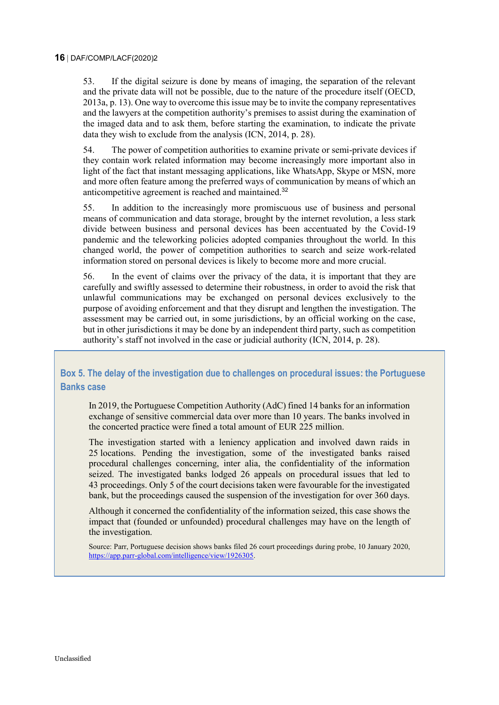53. If the digital seizure is done by means of imaging, the separation of the relevant and the private data will not be possible, due to the nature of the procedure itself (OECD, 2013a, p. 13). One way to overcome this issue may be to invite the company representatives and the lawyers at the competition authority's premises to assist during the examination of the imaged data and to ask them, before starting the examination, to indicate the private data they wish to exclude from the analysis (ICN, 2014, p. 28).

54. The power of competition authorities to examine private or semi-private devices if they contain work related information may become increasingly more important also in light of the fact that instant messaging applications, like WhatsApp, Skype or MSN, more and more often feature among the preferred ways of communication by means of which an anticompetitive agreement is reached and maintained.<sup>32</sup>

55. In addition to the increasingly more promiscuous use of business and personal means of communication and data storage, brought by the internet revolution, a less stark divide between business and personal devices has been accentuated by the Covid-19 pandemic and the teleworking policies adopted companies throughout the world. In this changed world, the power of competition authorities to search and seize work-related information stored on personal devices is likely to become more and more crucial.

56. In the event of claims over the privacy of the data, it is important that they are carefully and swiftly assessed to determine their robustness, in order to avoid the risk that unlawful communications may be exchanged on personal devices exclusively to the purpose of avoiding enforcement and that they disrupt and lengthen the investigation. The assessment may be carried out, in some jurisdictions, by an official working on the case, but in other jurisdictions it may be done by an independent third party, such as competition authority's staff not involved in the case or judicial authority (ICN, 2014, p. 28).

## <span id="page-15-0"></span>**Box 5. The delay of the investigation due to challenges on procedural issues: the Portuguese Banks case**

In 2019, the Portuguese Competition Authority (AdC) fined 14 banks for an information exchange of sensitive commercial data over more than 10 years. The banks involved in the concerted practice were fined a total amount of EUR 225 million.

The investigation started with a leniency application and involved dawn raids in 25 locations. Pending the investigation, some of the investigated banks raised procedural challenges concerning, inter alia, the confidentiality of the information seized. The investigated banks lodged 26 appeals on procedural issues that led to 43 proceedings. Only 5 of the court decisions taken were favourable for the investigated bank, but the proceedings caused the suspension of the investigation for over 360 days.

Although it concerned the confidentiality of the information seized, this case shows the impact that (founded or unfounded) procedural challenges may have on the length of the investigation.

Source: Parr, Portuguese decision shows banks filed 26 court proceedings during probe, 10 January 2020, [https://app.parr-global.com/intelligence/view/1926305.](https://app.parr-global.com/intelligence/view/1926305)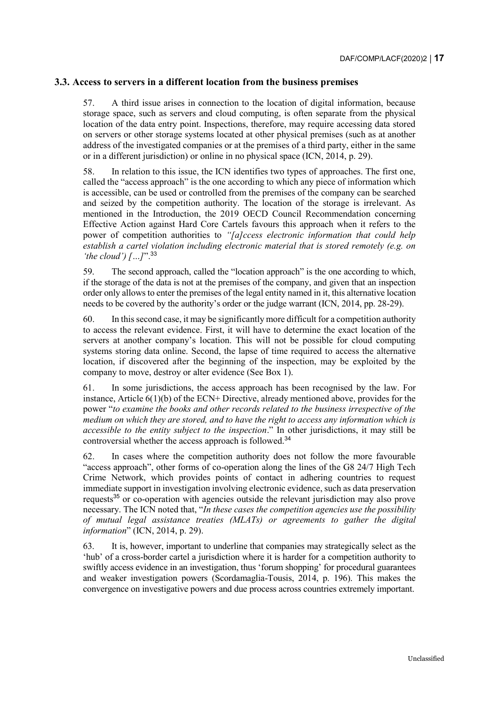### <span id="page-16-0"></span>**3.3. Access to servers in a different location from the business premises**

57. A third issue arises in connection to the location of digital information, because storage space, such as servers and cloud computing, is often separate from the physical location of the data entry point. Inspections, therefore, may require accessing data stored on servers or other storage systems located at other physical premises (such as at another address of the investigated companies or at the premises of a third party, either in the same or in a different jurisdiction) or online in no physical space (ICN, 2014, p. 29).

58. In relation to this issue, the ICN identifies two types of approaches. The first one, called the "access approach" is the one according to which any piece of information which is accessible, can be used or controlled from the premises of the company can be searched and seized by the competition authority. The location of the storage is irrelevant. As mentioned in the Introduction, the 2019 OECD Council Recommendation concerning Effective Action against Hard Core Cartels favours this approach when it refers to the power of competition authorities to *"[a]ccess electronic information that could help establish a cartel violation including electronic material that is stored remotely (e.g. on 'the cloud') […]*".<sup>33</sup>

59. The second approach, called the "location approach" is the one according to which, if the storage of the data is not at the premises of the company, and given that an inspection order only allows to enter the premises of the legal entity named in it, this alternative location needs to be covered by the authority's order or the judge warrant (ICN, 2014, pp. 28-29).

60. In this second case, it may be significantly more difficult for a competition authority to access the relevant evidence. First, it will have to determine the exact location of the servers at another company's location. This will not be possible for cloud computing systems storing data online. Second, the lapse of time required to access the alternative location, if discovered after the beginning of the inspection, may be exploited by the company to move, destroy or alter evidence (See [Box](#page-7-0) 1).

61. In some jurisdictions, the access approach has been recognised by the law. For instance, Article 6(1)(b) of the ECN+ Directive, already mentioned above, provides for the power "*to examine the books and other records related to the business irrespective of the medium on which they are stored, and to have the right to access any information which is accessible to the entity subject to the inspection*." In other jurisdictions, it may still be controversial whether the access approach is followed.<sup>34</sup>

62. In cases where the competition authority does not follow the more favourable "access approach", other forms of co-operation along the lines of the G8 24/7 High Tech Crime Network, which provides points of contact in adhering countries to request immediate support in investigation involving electronic evidence, such as data preservation requests<sup>35</sup> or co-operation with agencies outside the relevant jurisdiction may also prove necessary. The ICN noted that, "*In these cases the competition agencies use the possibility of mutual legal assistance treaties (MLATs) or agreements to gather the digital information*" (ICN, 2014, p. 29).

63. It is, however, important to underline that companies may strategically select as the 'hub' of a cross-border cartel a jurisdiction where it is harder for a competition authority to swiftly access evidence in an investigation, thus 'forum shopping' for procedural guarantees and weaker investigation powers (Scordamaglia-Tousis, 2014, p. 196). This makes the convergence on investigative powers and due process across countries extremely important.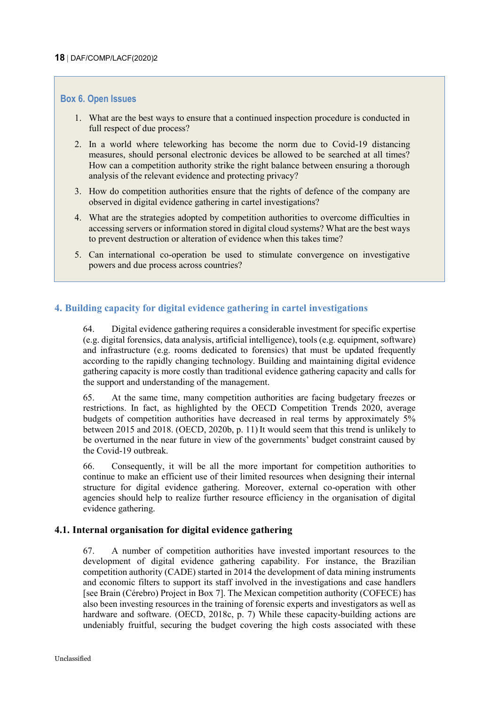#### <span id="page-17-2"></span>**Box 6. Open Issues**

- 1. What are the best ways to ensure that a continued inspection procedure is conducted in full respect of due process?
- 2. In a world where teleworking has become the norm due to Covid-19 distancing measures, should personal electronic devices be allowed to be searched at all times? How can a competition authority strike the right balance between ensuring a thorough analysis of the relevant evidence and protecting privacy?
- 3. How do competition authorities ensure that the rights of defence of the company are observed in digital evidence gathering in cartel investigations?
- 4. What are the strategies adopted by competition authorities to overcome difficulties in accessing servers or information stored in digital cloud systems? What are the best ways to prevent destruction or alteration of evidence when this takes time?
- 5. Can international co-operation be used to stimulate convergence on investigative powers and due process across countries?

### <span id="page-17-0"></span>**4. Building capacity for digital evidence gathering in cartel investigations**

64. Digital evidence gathering requires a considerable investment for specific expertise (e.g. digital forensics, data analysis, artificial intelligence), tools (e.g. equipment, software) and infrastructure (e.g. rooms dedicated to forensics) that must be updated frequently according to the rapidly changing technology. Building and maintaining digital evidence gathering capacity is more costly than traditional evidence gathering capacity and calls for the support and understanding of the management.

65. At the same time, many competition authorities are facing budgetary freezes or restrictions. In fact, as highlighted by the OECD Competition Trends 2020, average budgets of competition authorities have decreased in real terms by approximately 5% between 2015 and 2018. (OECD, 2020b, p. 11) It would seem that this trend is unlikely to be overturned in the near future in view of the governments' budget constraint caused by the Covid-19 outbreak.

66. Consequently, it will be all the more important for competition authorities to continue to make an efficient use of their limited resources when designing their internal structure for digital evidence gathering. Moreover, external co-operation with other agencies should help to realize further resource efficiency in the organisation of digital evidence gathering.

#### <span id="page-17-1"></span>**4.1. Internal organisation for digital evidence gathering**

67. A number of competition authorities have invested important resources to the development of digital evidence gathering capability. For instance, the Brazilian competition authority (CADE) started in 2014 the development of data mining instruments and economic filters to support its staff involved in the investigations and case handlers [see Brain (Cérebro) Project in [Box](#page-19-0) 7]. The Mexican competition authority (COFECE) has also been investing resources in the training of forensic experts and investigators as well as hardware and software. (OECD, 2018c, p. 7) While these capacity-building actions are undeniably fruitful, securing the budget covering the high costs associated with these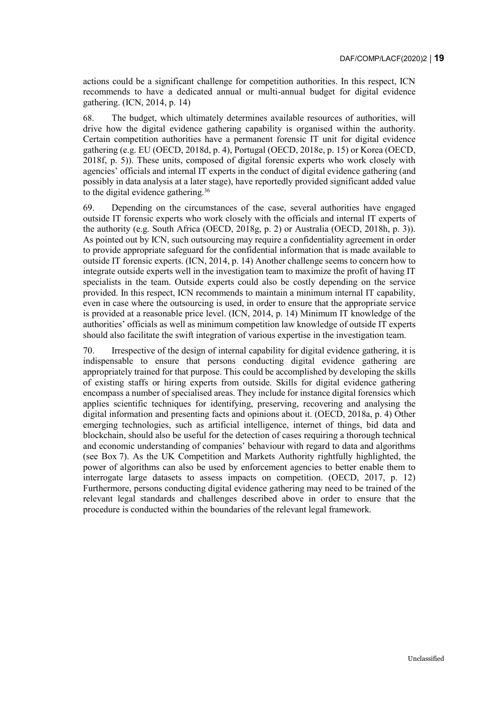actions could be a significant challenge for competition authorities. In this respect, ICN recommends to have a dedicated annual or multi-annual budget for digital evidence gathering. (ICN, 2014, p. 14)

68. The budget, which ultimately determines available resources of authorities, will drive how the digital evidence gathering capability is organised within the authority. Certain competition authorities have a permanent forensic IT unit for digital evidence gathering (e.g. EU (OECD, 2018d, p. 4), Portugal (OECD, 2018e, p. 15) or Korea (OECD, 2018f, p. 5)). These units, composed of digital forensic experts who work closely with agencies' officials and internal IT experts in the conduct of digital evidence gathering (and possibly in data analysis at a later stage), have reportedly provided significant added value to the digital evidence gathering.<sup>36</sup>

69. Depending on the circumstances of the case, several authorities have engaged outside IT forensic experts who work closely with the officials and internal IT experts of the authority (e.g. South Africa (OECD, 2018g, p. 2) or Australia (OECD, 2018h, p. 3)). As pointed out by ICN, such outsourcing may require a confidentiality agreement in order to provide appropriate safeguard for the confidential information that is made available to outside IT forensic experts. (ICN, 2014, p. 14) Another challenge seems to concern how to integrate outside experts well in the investigation team to maximize the profit of having IT specialists in the team. Outside experts could also be costly depending on the service provided. In this respect, ICN recommends to maintain a minimum internal IT capability, even in case where the outsourcing is used, in order to ensure that the appropriate service is provided at a reasonable price level. (ICN, 2014, p. 14) Minimum IT knowledge of the authorities' officials as well as minimum competition law knowledge of outside IT experts should also facilitate the swift integration of various expertise in the investigation team.

70. Irrespective of the design of internal capability for digital evidence gathering, it is indispensable to ensure that persons conducting digital evidence gathering are appropriately trained for that purpose. This could be accomplished by developing the skills of existing staffs or hiring experts from outside. Skills for digital evidence gathering encompass a number of specialised areas. They include for instance digital forensics which applies scientific techniques for identifying, preserving, recovering and analysing the digital information and presenting facts and opinions about it. (OECD, 2018a, p. 4) Other emerging technologies, such as artificial intelligence, internet of things, bid data and blockchain, should also be useful for the detection of cases requiring a thorough technical and economic understanding of companies' behaviour with regard to data and algorithms (see [Box](#page-19-0) 7). As the UK Competition and Markets Authority rightfully highlighted, the power of algorithms can also be used by enforcement agencies to better enable them to interrogate large datasets to assess impacts on competition. (OECD, 2017, p. 12) Furthermore, persons conducting digital evidence gathering may need to be trained of the relevant legal standards and challenges described above in order to ensure that the procedure is conducted within the boundaries of the relevant legal framework.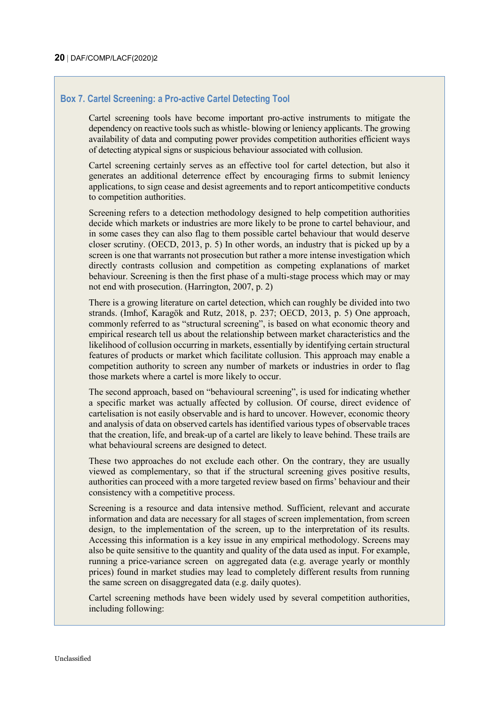### <span id="page-19-0"></span>**Box 7. Cartel Screening: a Pro-active Cartel Detecting Tool**

Cartel screening tools have become important pro-active instruments to mitigate the dependency on reactive tools such as whistle- blowing or leniency applicants. The growing availability of data and computing power provides competition authorities efficient ways of detecting atypical signs or suspicious behaviour associated with collusion.

Cartel screening certainly serves as an effective tool for cartel detection, but also it generates an additional deterrence effect by encouraging firms to submit leniency applications, to sign cease and desist agreements and to report anticompetitive conducts to competition authorities.

Screening refers to a detection methodology designed to help competition authorities decide which markets or industries are more likely to be prone to cartel behaviour, and in some cases they can also flag to them possible cartel behaviour that would deserve closer scrutiny. (OECD, 2013, p. 5) In other words, an industry that is picked up by a screen is one that warrants not prosecution but rather a more intense investigation which directly contrasts collusion and competition as competing explanations of market behaviour. Screening is then the first phase of a multi-stage process which may or may not end with prosecution. (Harrington, 2007, p. 2)

There is a growing literature on cartel detection, which can roughly be divided into two strands. (Imhof, Karagök and Rutz, 2018, p. 237; OECD, 2013, p. 5) One approach, commonly referred to as "structural screening", is based on what economic theory and empirical research tell us about the relationship between market characteristics and the likelihood of collusion occurring in markets, essentially by identifying certain structural features of products or market which facilitate collusion. This approach may enable a competition authority to screen any number of markets or industries in order to flag those markets where a cartel is more likely to occur.

The second approach, based on "behavioural screening", is used for indicating whether a specific market was actually affected by collusion. Of course, direct evidence of cartelisation is not easily observable and is hard to uncover. However, economic theory and analysis of data on observed cartels has identified various types of observable traces that the creation, life, and break-up of a cartel are likely to leave behind. These trails are what behavioural screens are designed to detect.

These two approaches do not exclude each other. On the contrary, they are usually viewed as complementary, so that if the structural screening gives positive results, authorities can proceed with a more targeted review based on firms' behaviour and their consistency with a competitive process.

Screening is a resource and data intensive method. Sufficient, relevant and accurate information and data are necessary for all stages of screen implementation, from screen design, to the implementation of the screen, up to the interpretation of its results. Accessing this information is a key issue in any empirical methodology. Screens may also be quite sensitive to the quantity and quality of the data used as input. For example, running a price-variance screen on aggregated data (e.g. average yearly or monthly prices) found in market studies may lead to completely different results from running the same screen on disaggregated data (e.g. daily quotes).

Cartel screening methods have been widely used by several competition authorities, including following: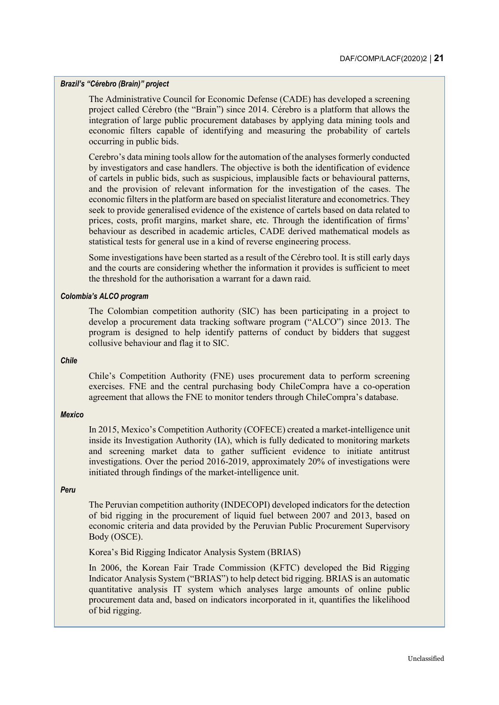#### *Brazil's "Cérebro (Brain)" project*

The Administrative Council for Economic Defense (CADE) has developed a screening project called Cérebro (the "Brain") since 2014. Cérebro is a platform that allows the integration of large public procurement databases by applying data mining tools and economic filters capable of identifying and measuring the probability of cartels occurring in public bids.

Cerebro's data mining tools allow for the automation of the analyses formerly conducted by investigators and case handlers. The objective is both the identification of evidence of cartels in public bids, such as suspicious, implausible facts or behavioural patterns, and the provision of relevant information for the investigation of the cases. The economic filters in the platform are based on specialist literature and econometrics. They seek to provide generalised evidence of the existence of cartels based on data related to prices, costs, profit margins, market share, etc. Through the identification of firms' behaviour as described in academic articles, CADE derived mathematical models as statistical tests for general use in a kind of reverse engineering process.

Some investigations have been started as a result of the Cérebro tool. It is still early days and the courts are considering whether the information it provides is sufficient to meet the threshold for the authorisation a warrant for a dawn raid.

#### *Colombia's ALCO program*

The Colombian competition authority (SIC) has been participating in a project to develop a procurement data tracking software program ("ALCO") since 2013. The program is designed to help identify patterns of conduct by bidders that suggest collusive behaviour and flag it to SIC.

#### *Chile*

Chile's Competition Authority (FNE) uses procurement data to perform screening exercises. FNE and the central purchasing body ChileCompra have a co-operation agreement that allows the FNE to monitor tenders through ChileCompra's database.

#### *Mexico*

In 2015, Mexico's Competition Authority (COFECE) created a market-intelligence unit inside its Investigation Authority (IA), which is fully dedicated to monitoring markets and screening market data to gather sufficient evidence to initiate antitrust investigations. Over the period 2016-2019, approximately 20% of investigations were initiated through findings of the market-intelligence unit.

#### *Peru*

The Peruvian competition authority (INDECOPI) developed indicators for the detection of bid rigging in the procurement of liquid fuel between 2007 and 2013, based on economic criteria and data provided by the Peruvian Public Procurement Supervisory Body (OSCE).

Korea's Bid Rigging Indicator Analysis System (BRIAS)

In 2006, the Korean Fair Trade Commission (KFTC) developed the Bid Rigging Indicator Analysis System ("BRIAS") to help detect bid rigging. BRIAS is an automatic quantitative analysis IT system which analyses large amounts of online public procurement data and, based on indicators incorporated in it, quantifies the likelihood of bid rigging.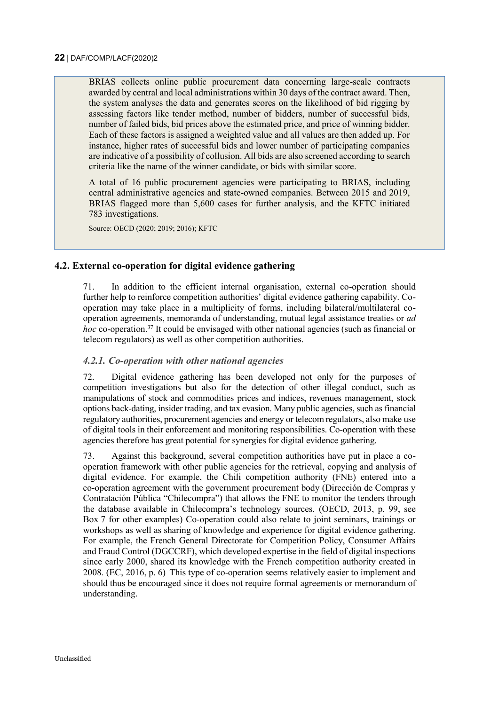BRIAS collects online public procurement data concerning large-scale contracts awarded by central and local administrations within 30 days of the contract award. Then, the system analyses the data and generates scores on the likelihood of bid rigging by assessing factors like tender method, number of bidders, number of successful bids, number of failed bids, bid prices above the estimated price, and price of winning bidder. Each of these factors is assigned a weighted value and all values are then added up. For instance, higher rates of successful bids and lower number of participating companies are indicative of a possibility of collusion. All bids are also screened according to search criteria like the name of the winner candidate, or bids with similar score.

A total of 16 public procurement agencies were participating to BRIAS, including central administrative agencies and state-owned companies. Between 2015 and 2019, BRIAS flagged more than 5,600 cases for further analysis, and the KFTC initiated 783 investigations.

Source: OECD (2020; 2019; 2016); KFTC

### <span id="page-21-0"></span>**4.2. External co-operation for digital evidence gathering**

71. In addition to the efficient internal organisation, external co-operation should further help to reinforce competition authorities' digital evidence gathering capability. Cooperation may take place in a multiplicity of forms, including bilateral/multilateral cooperation agreements, memoranda of understanding, mutual legal assistance treaties or *ad hoc* co-operation.<sup>37</sup> It could be envisaged with other national agencies (such as financial or telecom regulators) as well as other competition authorities.

#### <span id="page-21-1"></span>*4.2.1. Co-operation with other national agencies*

72. Digital evidence gathering has been developed not only for the purposes of competition investigations but also for the detection of other illegal conduct, such as manipulations of stock and commodities prices and indices, revenues management, stock options back-dating, insider trading, and tax evasion. Many public agencies, such as financial regulatory authorities, procurement agencies and energy or telecom regulators, also make use of digital tools in their enforcement and monitoring responsibilities. Co-operation with these agencies therefore has great potential for synergies for digital evidence gathering.

73. Against this background, several competition authorities have put in place a cooperation framework with other public agencies for the retrieval, copying and analysis of digital evidence. For example, the Chili competition authority (FNE) entered into a co-operation agreement with the government procurement body (Dirección de Compras y Contratación Pública "Chilecompra") that allows the FNE to monitor the tenders through the database available in Chilecompra's technology sources. (OECD, 2013, p. 99, see [Box](#page-19-0) 7 for other examples) Co-operation could also relate to joint seminars, trainings or workshops as well as sharing of knowledge and experience for digital evidence gathering. For example, the French General Directorate for Competition Policy, Consumer Affairs and Fraud Control (DGCCRF), which developed expertise in the field of digital inspections since early 2000, shared its knowledge with the French competition authority created in 2008. (EC, 2016, p. 6) This type of co-operation seems relatively easier to implement and should thus be encouraged since it does not require formal agreements or memorandum of understanding.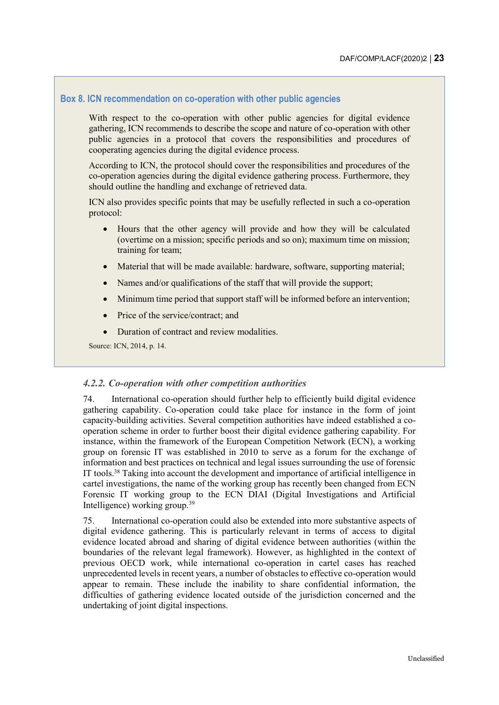### <span id="page-22-1"></span>**Box 8. ICN recommendation on co-operation with other public agencies**

With respect to the co-operation with other public agencies for digital evidence gathering, ICN recommends to describe the scope and nature of co-operation with other public agencies in a protocol that covers the responsibilities and procedures of cooperating agencies during the digital evidence process.

According to ICN, the protocol should cover the responsibilities and procedures of the co-operation agencies during the digital evidence gathering process. Furthermore, they should outline the handling and exchange of retrieved data.

ICN also provides specific points that may be usefully reflected in such a co-operation protocol:

- Hours that the other agency will provide and how they will be calculated (overtime on a mission; specific periods and so on); maximum time on mission; training for team;
- Material that will be made available: hardware, software, supporting material;
- Names and/or qualifications of the staff that will provide the support;
- Minimum time period that support staff will be informed before an intervention;
- Price of the service/contract; and
- Duration of contract and review modalities.

Source: ICN, 2014, p. 14.

#### <span id="page-22-0"></span>*4.2.2. Co-operation with other competition authorities*

74. International co-operation should further help to efficiently build digital evidence gathering capability. Co-operation could take place for instance in the form of joint capacity-building activities. Several competition authorities have indeed established a cooperation scheme in order to further boost their digital evidence gathering capability. For instance, within the framework of the European Competition Network (ECN), a working group on forensic IT was established in 2010 to serve as a forum for the exchange of information and best practices on technical and legal issues surrounding the use of forensic IT tools.<sup>38</sup> Taking into account the development and importance of artificial intelligence in cartel investigations, the name of the working group has recently been changed from ECN Forensic IT working group to the ECN DIAI (Digital Investigations and Artificial Intelligence) working group.<sup>39</sup>

75. International co-operation could also be extended into more substantive aspects of digital evidence gathering. This is particularly relevant in terms of access to digital evidence located abroad and sharing of digital evidence between authorities (within the boundaries of the relevant legal framework). However, as highlighted in the context of previous OECD work, while international co-operation in cartel cases has reached unprecedented levels in recent years, a number of obstacles to effective co-operation would appear to remain. These include the inability to share confidential information, the difficulties of gathering evidence located outside of the jurisdiction concerned and the undertaking of joint digital inspections.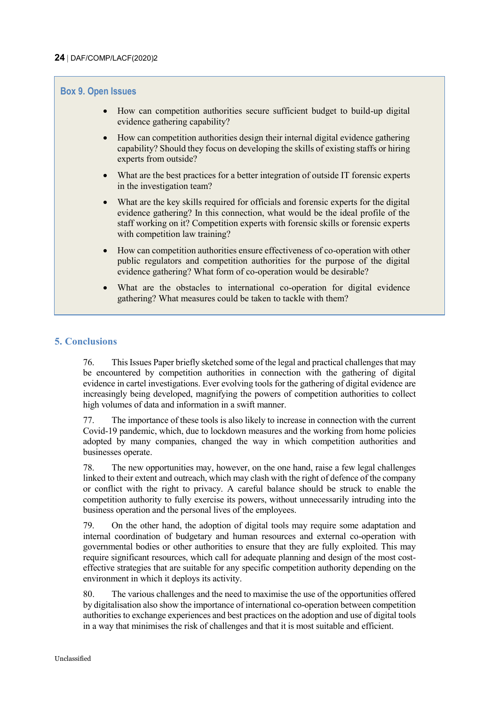### <span id="page-23-1"></span>**Box 9. Open Issues**

- How can competition authorities secure sufficient budget to build-up digital evidence gathering capability?
- How can competition authorities design their internal digital evidence gathering capability? Should they focus on developing the skills of existing staffs or hiring experts from outside?
- What are the best practices for a better integration of outside IT forensic experts in the investigation team?
- What are the key skills required for officials and forensic experts for the digital evidence gathering? In this connection, what would be the ideal profile of the staff working on it? Competition experts with forensic skills or forensic experts with competition law training?
- How can competition authorities ensure effectiveness of co-operation with other public regulators and competition authorities for the purpose of the digital evidence gathering? What form of co-operation would be desirable?
- What are the obstacles to international co-operation for digital evidence gathering? What measures could be taken to tackle with them?

### <span id="page-23-0"></span>**5. Conclusions**

76. This Issues Paper briefly sketched some of the legal and practical challenges that may be encountered by competition authorities in connection with the gathering of digital evidence in cartel investigations. Ever evolving tools for the gathering of digital evidence are increasingly being developed, magnifying the powers of competition authorities to collect high volumes of data and information in a swift manner.

77. The importance of these tools is also likely to increase in connection with the current Covid-19 pandemic, which, due to lockdown measures and the working from home policies adopted by many companies, changed the way in which competition authorities and businesses operate.

78. The new opportunities may, however, on the one hand, raise a few legal challenges linked to their extent and outreach, which may clash with the right of defence of the company or conflict with the right to privacy. A careful balance should be struck to enable the competition authority to fully exercise its powers, without unnecessarily intruding into the business operation and the personal lives of the employees.

79. On the other hand, the adoption of digital tools may require some adaptation and internal coordination of budgetary and human resources and external co-operation with governmental bodies or other authorities to ensure that they are fully exploited. This may require significant resources, which call for adequate planning and design of the most costeffective strategies that are suitable for any specific competition authority depending on the environment in which it deploys its activity.

80. The various challenges and the need to maximise the use of the opportunities offered by digitalisation also show the importance of international co-operation between competition authorities to exchange experiences and best practices on the adoption and use of digital tools in a way that minimises the risk of challenges and that it is most suitable and efficient.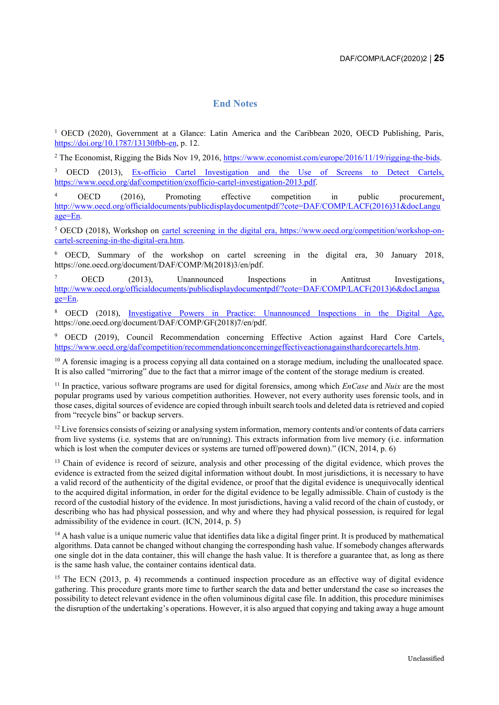#### **End Notes**

<span id="page-24-0"></span><sup>1</sup> OECD (2020), Government at a Glance: Latin America and the Caribbean 2020, OECD Publishing, Paris, [https://doi.org/10.1787/13130fbb-en,](https://doi.org/10.1787/13130fbb-en) p. 12.

<sup>2</sup> The Economist, Rigging the Bids Nov 19, 2016, [https://www.economist.com/europe/2016/11/19/rigging-the-bids.](https://www.economist.com/europe/2016/11/19/rigging-the-bids)

<sup>3</sup> OECD (2013), Ex-officio Cartel Investigation and the Use of Screens to Detect Cartels, [https://www.oecd.org/daf/competition/exofficio-cartel-investigation-2013.pdf.](https://www.oecd.org/daf/competition/exofficio-cartel-investigation-2013.pdf)

<sup>4</sup> OECD (2016), Promoting effective competition in public procurement, [http://www.oecd.org/officialdocuments/publicdisplaydocumentpdf/?cote=DAF/COMP/LACF\(2016\)31&docLangu](http://www.oecd.org/officialdocuments/publicdisplaydocumentpdf/?cote=DAF/COMP/LACF(2016)31&docLanguage=En) [age=En.](http://www.oecd.org/officialdocuments/publicdisplaydocumentpdf/?cote=DAF/COMP/LACF(2016)31&docLanguage=En)

<sup>5</sup> OECD (2018), Workshop on [cartel screening in the digital era, https://www.oecd.org/competition/workshop-on](https://www.oecd.org/competition/workshop-on-cartel-screening-in-the-digital-era.htm)[cartel-screening-in-the-digital-era.htm.](https://www.oecd.org/competition/workshop-on-cartel-screening-in-the-digital-era.htm)

<sup>6</sup> OECD, Summary of the workshop on cartel screening in the digital era, 30 January 2018, https://one.oecd.org/document/DAF/COMP/M(2018)3/en/pdf.

<sup>7</sup> OECD (2013), Unannounced Inspections in Antitrust Investigations, [http://www.oecd.org/officialdocuments/publicdisplaydocumentpdf/?cote=DAF/COMP/LACF\(2013\)6&docLangua](http://www.oecd.org/officialdocuments/publicdisplaydocumentpdf/?cote=DAF/COMP/LACF(2013)6&docLanguage=En) [ge=En.](http://www.oecd.org/officialdocuments/publicdisplaydocumentpdf/?cote=DAF/COMP/LACF(2013)6&docLanguage=En)

<sup>8</sup> OECD (2018), Investigative Powers in Practice: Unannounced Inspections in the Digital Age, https://one.oecd.org/document/DAF/COMP/GF(2018)7/en/pdf.

<sup>9</sup> OECD (2019), Council Recommendation concerning Effective Action against Hard Core Cartels, [https://www.oecd.org/daf/competition/recommendationconcerningeffectiveactionagainsthardcorecartels.htm.](https://www.oecd.org/daf/competition/recommendationconcerningeffectiveactionagainsthardcorecartels.htm)

 $10$  A forensic imaging is a process copying all data contained on a storage medium, including the unallocated space. It is also called "mirroring" due to the fact that a mirror image of the content of the storage medium is created.

<sup>11</sup> In practice, various software programs are used for digital forensics, among which *EnCase* and *Nuix* are the most popular programs used by various competition authorities. However, not every authority uses forensic tools, and in those cases, digital sources of evidence are copied through inbuilt search tools and deleted data is retrieved and copied from "recycle bins" or backup servers.

 $12$  Live forensics consists of seizing or analysing system information, memory contents and/or contents of data carriers from live systems (i.e. systems that are on/running). This extracts information from live memory (i.e. information which is lost when the computer devices or systems are turned off/powered down)." (ICN, 2014, p. 6)

<sup>13</sup> Chain of evidence is record of seizure, analysis and other processing of the digital evidence, which proves the evidence is extracted from the seized digital information without doubt. In most jurisdictions, it is necessary to have a valid record of the authenticity of the digital evidence, or proof that the digital evidence is unequivocally identical to the acquired digital information, in order for the digital evidence to be legally admissible. Chain of custody is the record of the custodial history of the evidence. In most jurisdictions, having a valid record of the chain of custody, or describing who has had physical possession, and why and where they had physical possession, is required for legal admissibility of the evidence in court. (ICN, 2014, p. 5)

<sup>14</sup> A hash value is a unique numeric value that identifies data like a digital finger print. It is produced by mathematical algorithms. Data cannot be changed without changing the corresponding hash value. If somebody changes afterwards one single dot in the data container, this will change the hash value. It is therefore a guarantee that, as long as there is the same hash value, the container contains identical data.

<sup>15</sup> The ECN (2013, p. 4) recommends a continued inspection procedure as an effective way of digital evidence gathering. This procedure grants more time to further search the data and better understand the case so increases the possibility to detect relevant evidence in the often voluminous digital case file. In addition, this procedure minimises the disruption of the undertaking's operations. However, it is also argued that copying and taking away a huge amount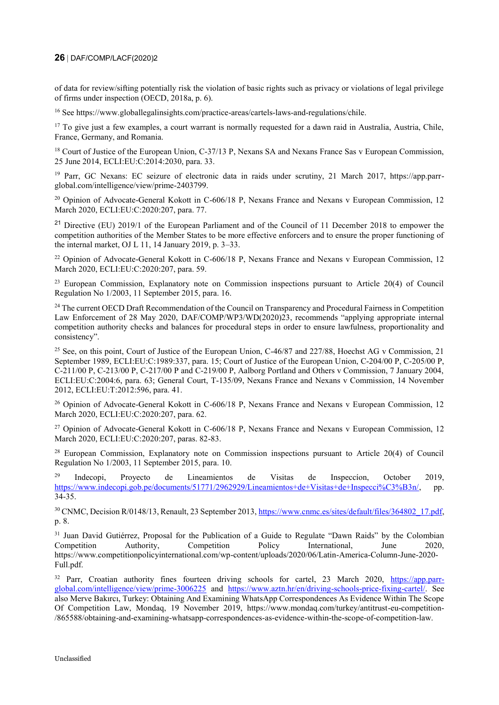#### **26** DAF/COMP/LACF(2020)2

of data for review/sifting potentially risk the violation of basic rights such as privacy or violations of legal privilege of firms under inspection (OECD, 2018a, p. 6).

<sup>16</sup> See https://www.globallegalinsights.com/practice-areas/cartels-laws-and-regulations/chile.

 $17$  To give just a few examples, a court warrant is normally requested for a dawn raid in Australia, Austria, Chile, France, Germany, and Romania.

<sup>18</sup> Court of Justice of the European Union, C-37/13 P, Nexans SA and Nexans France Sas v European Commission, 25 June 2014, ECLI:EU:C:2014:2030, para. 33.

<sup>19</sup> Parr, GC Nexans: EC seizure of electronic data in raids under scrutiny, 21 March 2017, https://app.parrglobal.com/intelligence/view/prime-2403799.

 $^{20}$  Opinion of Advocate-General Kokott in C-606/18 P, Nexans France and Nexans v European Commission, 12 March 2020, ECLI:EU:C:2020:207, para. 77.

<sup>21</sup> Directive (EU) 2019/1 of the European Parliament and of the Council of 11 December 2018 to empower the competition authorities of the Member States to be more effective enforcers and to ensure the proper functioning of the internal market, OJ L 11, 14 January 2019, p. 3–33.

<sup>22</sup> Opinion of Advocate-General Kokott in C-606/18 P, Nexans France and Nexans v European Commission, 12 March 2020, ECLI:EU:C:2020:207, para. 59.

<sup>23</sup> European Commission, Explanatory note on Commission inspections pursuant to Article 20(4) of Council Regulation No 1/2003, 11 September 2015, para. 16.

<sup>24</sup> The current OECD Draft Recommendation of the Council on Transparency and Procedural Fairness in Competition Law Enforcement of 28 May 2020, DAF/COMP/WP3/WD(2020)23, recommends "applying appropriate internal competition authority checks and balances for procedural steps in order to ensure lawfulness, proportionality and consistency".

<sup>25</sup> See, on this point, Court of Justice of the European Union, C-46/87 and 227/88, Hoechst AG v Commission, 21 September 1989, ECLI:EU:C:1989:337, para. 15; Court of Justice of the European Union, C-204/00 P, C-205/00 P, C‑211/00 P, C‑213/00 P, C‑217/00 P and C‑219/00 P, Aalborg Portland and Others v Commission, 7 January 2004, ECLI:EU:C:2004:6, para. 63; General Court, T‑135/09, Nexans France and Nexans v Commission, 14 November 2012, ECLI:EU:T:2012:596, para. 41.

<sup>26</sup> Opinion of Advocate-General Kokott in C-606/18 P, Nexans France and Nexans v European Commission, 12 March 2020, ECLI:EU:C:2020:207, para. 62.

<sup>27</sup> Opinion of Advocate-General Kokott in C-606/18 P, Nexans France and Nexans v European Commission, 12 March 2020, ECLI:EU:C:2020:207, paras. 82-83.

<sup>28</sup> European Commission, Explanatory note on Commission inspections pursuant to Article 20(4) of Council Regulation No 1/2003, 11 September 2015, para. 10.

<sup>29</sup> Indecopi, Proyecto de Lineamientos de Visitas de Inspeccíon, October 2019, [https://www.indecopi.gob.pe/documents/51771/2962929/Lineamientos+de+Visitas+de+Inspecci%C3%B3n/,](https://www.indecopi.gob.pe/documents/51771/2962929/Lineamientos+de+Visitas+de+Inspecci%C3%B3n/) pp. 34-35.

<sup>30</sup> CNMC, Decision R/0148/13, Renault, 23 September 2013[, https://www.cnmc.es/sites/default/files/364802\\_17.pdf,](https://www.cnmc.es/sites/default/files/364802_17.pdf) p. 8.

<sup>31</sup> Juan David Gutiérrez, Proposal for the Publication of a Guide to Regulate "Dawn Raids" by the Colombian Competition Authority, Competition Policy International, June 2020, https://www.competitionpolicyinternational.com/wp-content/uploads/2020/06/Latin-America-Column-June-2020- Full.pdf.

<sup>32</sup> Parr, Croatian authority fines fourteen driving schools for cartel, 23 March 2020, [https://app.parr](https://app.parr-global.com/intelligence/view/prime-3006225)[global.com/intelligence/view/prime-3006225](https://app.parr-global.com/intelligence/view/prime-3006225) and [https://www.aztn.hr/en/driving-schools-price-fixing-cartel/.](https://www.aztn.hr/en/driving-schools-price-fixing-cartel/) See also Merve Bakırcı, Turkey: Obtaining And Examining WhatsApp Correspondences As Evidence Within The Scope Of Competition Law, Mondaq, 19 November 2019, https://www.mondaq.com/turkey/antitrust-eu-competition- /865588/obtaining-and-examining-whatsapp-correspondences-as-evidence-within-the-scope-of-competition-law.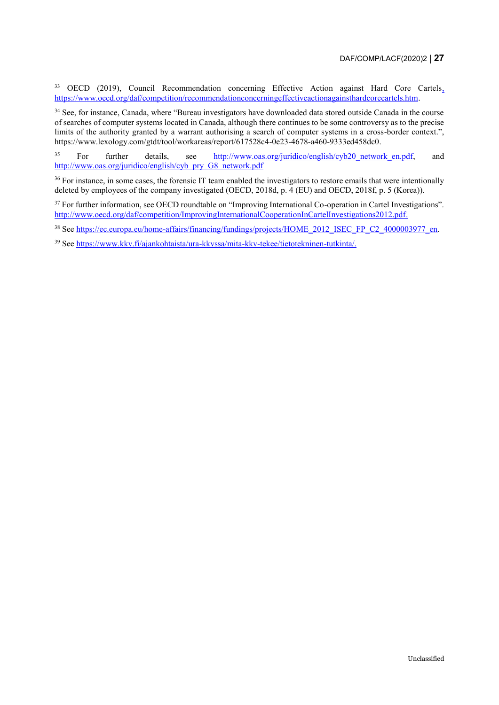<sup>33</sup> OECD (2019), Council Recommendation concerning Effective Action against Hard Core Cartels, [https://www.oecd.org/daf/competition/recommendationconcerningeffectiveactionagainsthardcorecartels.htm.](https://www.oecd.org/daf/competition/recommendationconcerningeffectiveactionagainsthardcorecartels.htm)

<sup>34</sup> See, for instance, Canada, where "Bureau investigators have downloaded data stored outside Canada in the course of searches of computer systems located in Canada, although there continues to be some controversy as to the precise limits of the authority granted by a warrant authorising a search of computer systems in a cross-border context.", [https://www.lexology.com/gtdt/tool/workareas/report/617528c4-0e23-4678-a460-9333ed458dc0.](https://www.lexology.com/gtdt/tool/workareas/report/617528c4-0e23-4678-a460-9333ed458dc0)

<sup>35</sup> For further details, see [http://www.oas.org/juridico/english/cyb20\\_network\\_en.pdf,](http://www.oas.org/juridico/english/cyb20_network_en.pdf) and [http://www.oas.org/juridico/english/cyb\\_pry\\_G8\\_network.pdf](http://www.oas.org/juridico/english/cyb_pry_G8_network.pdf)

<sup>36</sup> For instance, in some cases, the forensic IT team enabled the investigators to restore emails that were intentionally deleted by employees of the company investigated (OECD, 2018d, p. 4 (EU) and OECD, 2018f, p. 5 (Korea)).

<sup>37</sup> For further information, see OECD roundtable on "Improving International Co-operation in Cartel Investigations". [http://www.oecd.org/daf/competition/ImprovingInternationalCooperationInCartelInvestigations2012.pdf.](http://www.oecd.org/daf/competition/ImprovingInternationalCooperationInCartelInvestigations2012.pdf) 

<sup>38</sup> See [https://ec.europa.eu/home-affairs/financing/fundings/projects/HOME\\_2012\\_ISEC\\_FP\\_C2\\_4000003977\\_en.](https://ec.europa.eu/home-affairs/financing/fundings/projects/HOME_2012_ISEC_FP_C2_4000003977_en)

<sup>39</sup> See [https://www.kkv.fi/ajankohtaista/ura-kkvssa/mita-kkv-tekee/tietotekninen-tutkinta/.](https://www.kkv.fi/ajankohtaista/ura-kkvssa/mita-kkv-tekee/tietotekninen-tutkinta/)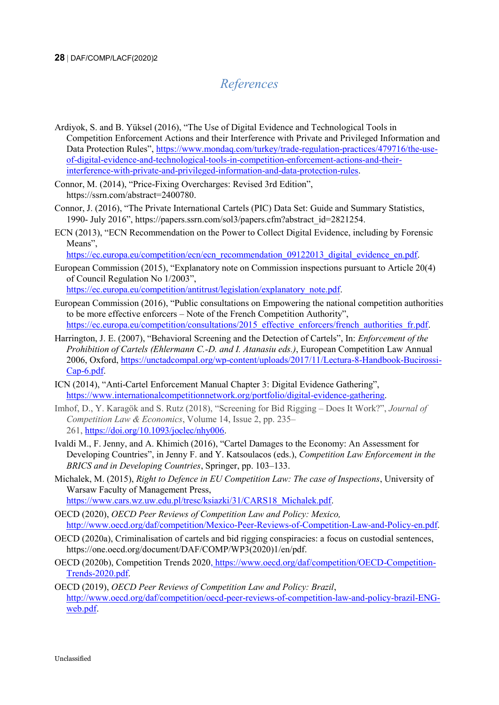# *References*

<span id="page-27-0"></span>[Ardiyok,](https://www.mondaq.com/Home/Redirect/1316934?mode=author&article_id=479716) S. and [B. Yüksel](https://www.mondaq.com/Home/Redirect/1347460?mode=author&article_id=479716) (2016), "The Use of Digital Evidence and Technological Tools in Competition Enforcement Actions and their Interference with Private and Privileged Information and Data Protection Rules", [https://www.mondaq.com/turkey/trade-regulation-practices/479716/the-use](https://www.mondaq.com/turkey/trade-regulation-practices/479716/the-use-of-digital-evidence-and-technological-tools-in-competition-enforcement-actions-and-their-interference-with-private-and-privileged-information-and-data-protection-rules)[of-digital-evidence-and-technological-tools-in-competition-enforcement-actions-and-their](https://www.mondaq.com/turkey/trade-regulation-practices/479716/the-use-of-digital-evidence-and-technological-tools-in-competition-enforcement-actions-and-their-interference-with-private-and-privileged-information-and-data-protection-rules)[interference-with-private-and-privileged-information-and-data-protection-rules.](https://www.mondaq.com/turkey/trade-regulation-practices/479716/the-use-of-digital-evidence-and-technological-tools-in-competition-enforcement-actions-and-their-interference-with-private-and-privileged-information-and-data-protection-rules)

Connor, M. (2014), "Price-Fixing Overcharges: Revised 3rd Edition", [https://ssrn.com/abstract=2400780.](https://ssrn.com/abstract=2400780)

Connor, J. (2016), "The Private International Cartels (PIC) Data Set: Guide and Summary Statistics, 1990- July 2016", https://papers.ssrn.com/sol3/papers.cfm?abstract\_id=2821254.

ECN (2013), "ECN Recommendation on the Power to Collect Digital Evidence, including by Forensic Means",

[https://ec.europa.eu/competition/ecn/ecn\\_recommendation\\_09122013\\_digital\\_evidence\\_en.pdf.](https://ec.europa.eu/competition/ecn/ecn_recommendation_09122013_digital_evidence_en.pdf)

European Commission (2015), "Explanatory note on Commission inspections pursuant to Article 20(4) of Council Regulation No 1/2003",

[https://ec.europa.eu/competition/antitrust/legislation/explanatory\\_note.pdf.](https://ec.europa.eu/competition/antitrust/legislation/explanatory_note.pdf)

- European Commission (2016), "Public consultations on Empowering the national competition authorities to be more effective enforcers – Note of the French Competition Authority", [https://ec.europa.eu/competition/consultations/2015\\_effective\\_enforcers/french\\_authorities\\_fr.pdf.](https://ec.europa.eu/competition/consultations/2015_effective_enforcers/french_authorities_fr.pdf)
- Harrington, J. E. (2007), "Behavioral Screening and the Detection of Cartels", In: *Enforcement of the Prohibition of Cartels (Ehlermann C.-D. and I. Atanasiu eds.)*, European Competition Law Annual 2006, Oxford, [https://unctadcompal.org/wp-content/uploads/2017/11/Lectura-8-Handbook-Bucirossi-](https://unctadcompal.org/wp-content/uploads/2017/11/Lectura-8-Handbook-Bucirossi-Cap-6.pdf)[Cap-6.pdf.](https://unctadcompal.org/wp-content/uploads/2017/11/Lectura-8-Handbook-Bucirossi-Cap-6.pdf)
- ICN (2014), "Anti-Cartel Enforcement Manual Chapter 3: Digital Evidence Gathering", [https://www.internationalcompetitionnetwork.org/portfolio/digital-evidence-gathering.](https://www.internationalcompetitionnetwork.org/portfolio/digital-evidence-gathering/)
- Imhof, D., Y. Karagök and S. Rutz (2018), "Screening for Bid Rigging Does It Work?", *Journal of Competition Law & Economics*, Volume 14, Issue 2, pp. 235– 261, [https://doi.org/10.1093/joclec/nhy006.](https://doi.org/10.1093/joclec/nhy006)
- Ivaldi M., F. Jenny, and A. Khimich (2016), "Cartel Damages to the Economy: An Assessment for Developing Countries", in Jenny F. and Y. Katsoulacos (eds.), *Competition Law Enforcement in the BRICS and in Developing Countries*, Springer, pp. 103–133.
- Michalek, M. (2015), *Right to Defence in EU Competition Law: The case of Inspections*, University of Warsaw Faculty of Management Press, [https://www.cars.wz.uw.edu.pl/tresc/ksiazki/31/CARS18\\_Michalek.pdf.](https://www.cars.wz.uw.edu.pl/tresc/ksiazki/31/CARS18_Michalek.pdf)

- OECD (2020), *OECD Peer Reviews of Competition Law and Policy: Mexico,* [http://www.oecd.org/daf/competition/Mexico-Peer-Reviews-of-Competition-Law-and-Policy-en.pdf.](http://www.oecd.org/daf/competition/Mexico-Peer-Reviews-of-Competition-Law-and-Policy-en.pdf)
- OECD (2020a), Criminalisation of cartels and bid rigging conspiracies: a focus on custodial sentences, https://one.oecd.org/document/DAF/COMP/WP3(2020)1/en/pdf.
- OECD (2020b), Competition Trends 2020, [https://www.oecd.org/daf/competition/OECD-Competition-](https://www.oecd.org/daf/competition/OECD-Competition-Trends-2020.pdf)[Trends-2020.pdf.](https://www.oecd.org/daf/competition/OECD-Competition-Trends-2020.pdf)
- OECD (2019), *OECD Peer Reviews of Competition Law and Policy: Brazil*, [http://www.oecd.org/daf/competition/oecd-peer-reviews-of-competition-law-and-policy-brazil-ENG](http://www.oecd.org/daf/competition/oecd-peer-reviews-of-competition-law-and-policy-brazil-ENG-web.pdf)[web.pdf.](http://www.oecd.org/daf/competition/oecd-peer-reviews-of-competition-law-and-policy-brazil-ENG-web.pdf)